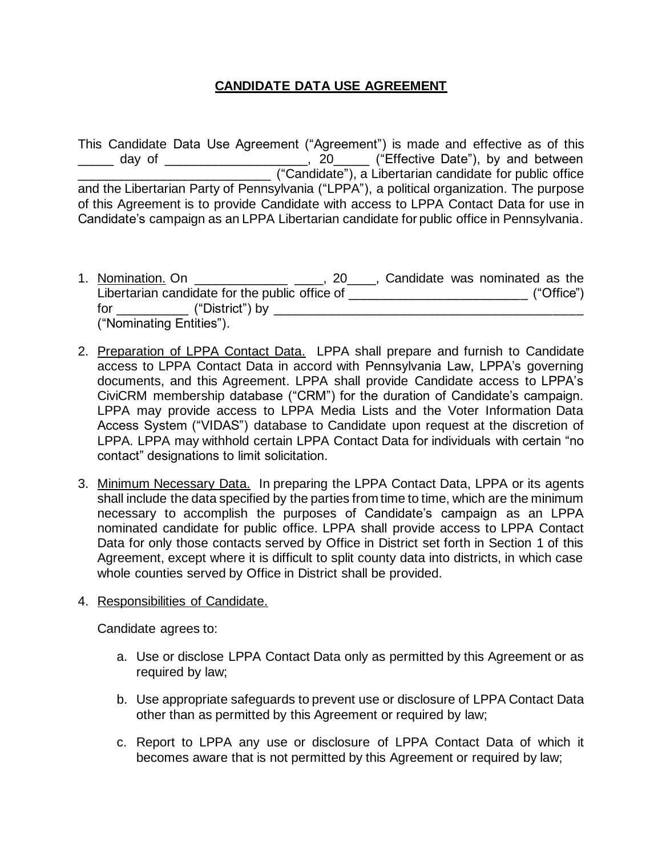## **CANDIDATE DATA USE AGREEMENT**

This Candidate Data Use Agreement ("Agreement") is made and effective as of this day of \_\_\_\_\_\_\_\_\_\_\_\_\_\_\_, 20\_\_\_\_\_ ("Effective Date"), by and between **Example 2018** ("Candidate"), a Libertarian candidate for public office and the Libertarian Party of Pennsylvania ("LPPA"), a political organization. The purpose of this Agreement is to provide Candidate with access to LPPA Contact Data for use in Candidate's campaign as an LPPA Libertarian candidate for public office in Pennsylvania.

- 1. Nomination. On \_\_\_\_\_\_\_\_\_\_\_\_\_\_\_\_\_\_\_\_\_\_\_, 20\_\_\_\_\_, Candidate was nominated as the Libertarian candidate for the public office of \_\_\_\_\_\_\_\_\_\_\_\_\_\_\_\_\_\_\_\_\_\_\_\_\_\_\_\_\_\_\_\_\_ ("Office") for \_\_\_\_\_\_\_\_\_\_ ("District") by \_\_\_\_\_\_\_\_\_\_\_\_\_\_\_\_\_\_\_\_\_\_\_\_\_\_\_\_\_\_\_\_\_\_\_\_\_\_\_\_\_\_\_ ("Nominating Entities").
- 2. Preparation of LPPA Contact Data. LPPA shall prepare and furnish to Candidate access to LPPA Contact Data in accord with Pennsylvania Law, LPPA's governing documents, and this Agreement. LPPA shall provide Candidate access to LPPA's CiviCRM membership database ("CRM") for the duration of Candidate's campaign. LPPA may provide access to LPPA Media Lists and the Voter Information Data Access System ("VIDAS") database to Candidate upon request at the discretion of LPPA. LPPA may withhold certain LPPA Contact Data for individuals with certain "no contact" designations to limit solicitation.
- 3. Minimum Necessary Data. In preparing the LPPA Contact Data, LPPA or its agents shall include the data specified by the parties from time to time, which are the minimum necessary to accomplish the purposes of Candidate's campaign as an LPPA nominated candidate for public office. LPPA shall provide access to LPPA Contact Data for only those contacts served by Office in District set forth in Section 1 of this Agreement, except where it is difficult to split county data into districts, in which case whole counties served by Office in District shall be provided.
- 4. Responsibilities of Candidate.

Candidate agrees to:

- a. Use or disclose LPPA Contact Data only as permitted by this Agreement or as required by law;
- b. Use appropriate safeguards to prevent use or disclosure of LPPA Contact Data other than as permitted by this Agreement or required by law;
- c. Report to LPPA any use or disclosure of LPPA Contact Data of which it becomes aware that is not permitted by this Agreement or required by law;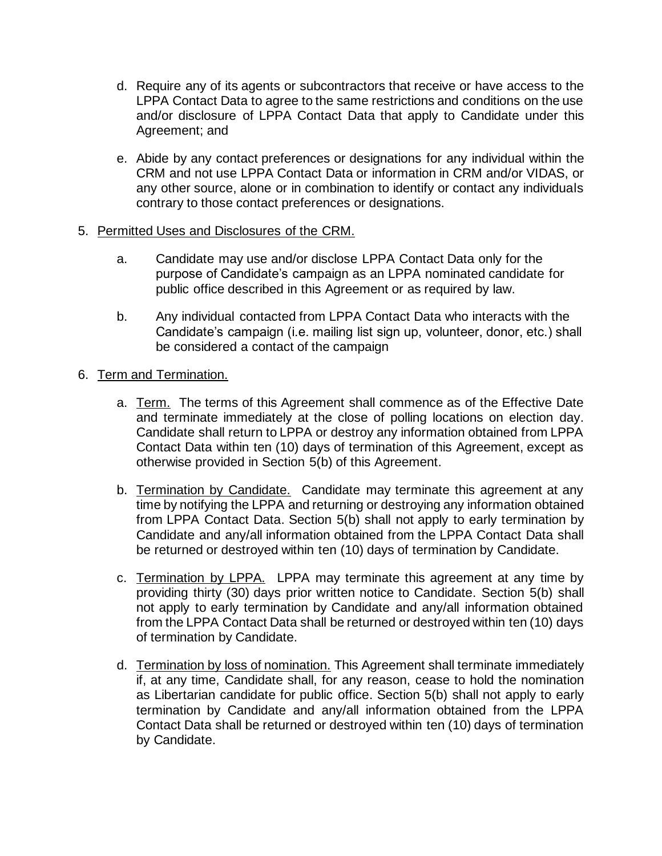- d. Require any of its agents or subcontractors that receive or have access to the LPPA Contact Data to agree to the same restrictions and conditions on the use and/or disclosure of LPPA Contact Data that apply to Candidate under this Agreement; and
- e. Abide by any contact preferences or designations for any individual within the CRM and not use LPPA Contact Data or information in CRM and/or VIDAS, or any other source, alone or in combination to identify or contact any individuals contrary to those contact preferences or designations.
- 5. Permitted Uses and Disclosures of the CRM.
	- a. Candidate may use and/or disclose LPPA Contact Data only for the purpose of Candidate's campaign as an LPPA nominated candidate for public office described in this Agreement or as required by law.
	- b. Any individual contacted from LPPA Contact Data who interacts with the Candidate's campaign (i.e. mailing list sign up, volunteer, donor, etc.) shall be considered a contact of the campaign
- 6. Term and Termination.
	- a. Term. The terms of this Agreement shall commence as of the Effective Date and terminate immediately at the close of polling locations on election day. Candidate shall return to LPPA or destroy any information obtained from LPPA Contact Data within ten (10) days of termination of this Agreement, except as otherwise provided in Section 5(b) of this Agreement.
	- b. Termination by Candidate. Candidate may terminate this agreement at any time by notifying the LPPA and returning or destroying any information obtained from LPPA Contact Data. Section 5(b) shall not apply to early termination by Candidate and any/all information obtained from the LPPA Contact Data shall be returned or destroyed within ten (10) days of termination by Candidate.
	- c. Termination by LPPA. LPPA may terminate this agreement at any time by providing thirty (30) days prior written notice to Candidate. Section 5(b) shall not apply to early termination by Candidate and any/all information obtained from the LPPA Contact Data shall be returned or destroyed within ten (10) days of termination by Candidate.
	- d. Termination by loss of nomination. This Agreement shall terminate immediately if, at any time, Candidate shall, for any reason, cease to hold the nomination as Libertarian candidate for public office. Section 5(b) shall not apply to early termination by Candidate and any/all information obtained from the LPPA Contact Data shall be returned or destroyed within ten (10) days of termination by Candidate.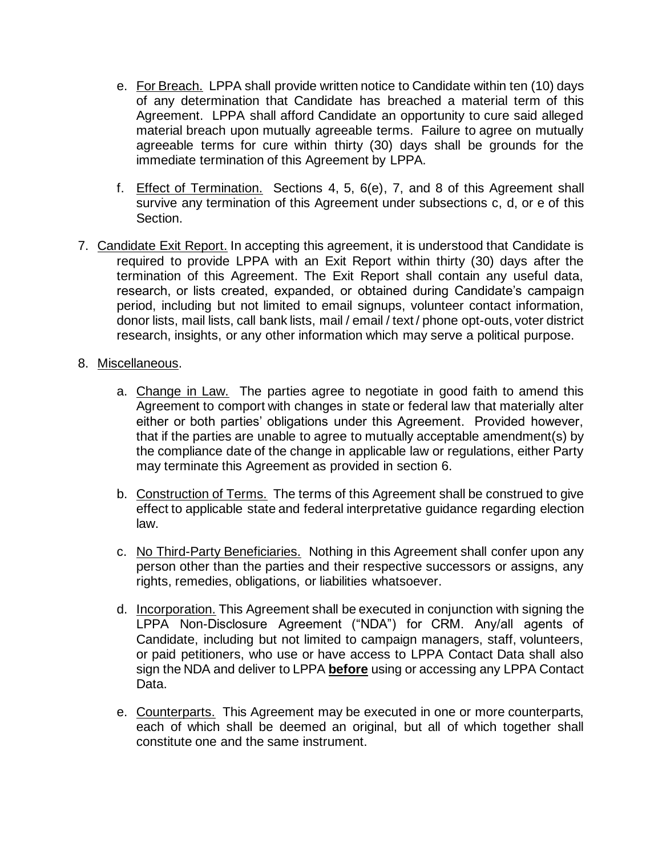- e. For Breach. LPPA shall provide written notice to Candidate within ten (10) days of any determination that Candidate has breached a material term of this Agreement. LPPA shall afford Candidate an opportunity to cure said alleged material breach upon mutually agreeable terms. Failure to agree on mutually agreeable terms for cure within thirty (30) days shall be grounds for the immediate termination of this Agreement by LPPA.
- f. Effect of Termination. Sections 4, 5, 6(e), 7, and 8 of this Agreement shall survive any termination of this Agreement under subsections c, d, or e of this Section.
- 7. Candidate Exit Report. In accepting this agreement, it is understood that Candidate is required to provide LPPA with an Exit Report within thirty (30) days after the termination of this Agreement. The Exit Report shall contain any useful data, research, or lists created, expanded, or obtained during Candidate's campaign period, including but not limited to email signups, volunteer contact information, donor lists, mail lists, call bank lists, mail / email / text / phone opt-outs, voter district research, insights, or any other information which may serve a political purpose.
- 8. Miscellaneous.
	- a. Change in Law. The parties agree to negotiate in good faith to amend this Agreement to comport with changes in state or federal law that materially alter either or both parties' obligations under this Agreement. Provided however, that if the parties are unable to agree to mutually acceptable amendment(s) by the compliance date of the change in applicable law or regulations, either Party may terminate this Agreement as provided in section 6.
	- b. Construction of Terms. The terms of this Agreement shall be construed to give effect to applicable state and federal interpretative guidance regarding election law.
	- c. No Third-Party Beneficiaries. Nothing in this Agreement shall confer upon any person other than the parties and their respective successors or assigns, any rights, remedies, obligations, or liabilities whatsoever.
	- d. Incorporation. This Agreement shall be executed in conjunction with signing the LPPA Non-Disclosure Agreement ("NDA") for CRM. Any/all agents of Candidate, including but not limited to campaign managers, staff, volunteers, or paid petitioners, who use or have access to LPPA Contact Data shall also sign the NDA and deliver to LPPA **before** using or accessing any LPPA Contact Data.
	- e. Counterparts. This Agreement may be executed in one or more counterparts, each of which shall be deemed an original, but all of which together shall constitute one and the same instrument.